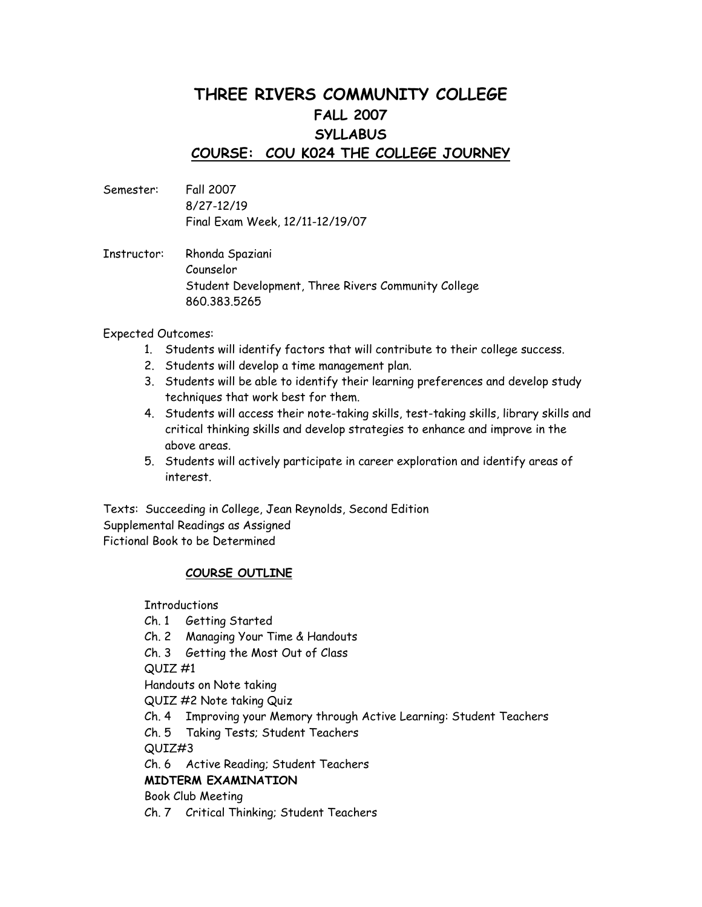# **THREE RIVERS COMMUNITY COLLEGE FALL 2007 SYLLABUS COURSE: COU K024 THE COLLEGE JOURNEY**

- Semester: Fall 2007 8/27-12/19 Final Exam Week, 12/11-12/19/07
- Instructor: Rhonda Spaziani Counselor Student Development, Three Rivers Community College 860.383.5265

#### Expected Outcomes:

- 1. Students will identify factors that will contribute to their college success.
- 2. Students will develop a time management plan.
- 3. Students will be able to identify their learning preferences and develop study techniques that work best for them.
- 4. Students will access their note-taking skills, test-taking skills, library skills and critical thinking skills and develop strategies to enhance and improve in the above areas.
- 5. Students will actively participate in career exploration and identify areas of interest.

Texts: Succeeding in College, Jean Reynolds, Second Edition Supplemental Readings as Assigned Fictional Book to be Determined

#### **COURSE OUTLINE**

Introductions

- Ch. 1 Getting Started
- Ch. 2 Managing Your Time & Handouts
- Ch. 3 Getting the Most Out of Class

QUIZ #1

Handouts on Note taking

QUIZ #2 Note taking Quiz

Ch. 4 Improving your Memory through Active Learning: Student Teachers

Ch. 5 Taking Tests; Student Teachers

QUIZ#3

Ch. 6 Active Reading; Student Teachers

### **MIDTERM EXAMINATION**

Book Club Meeting

Ch. 7 Critical Thinking; Student Teachers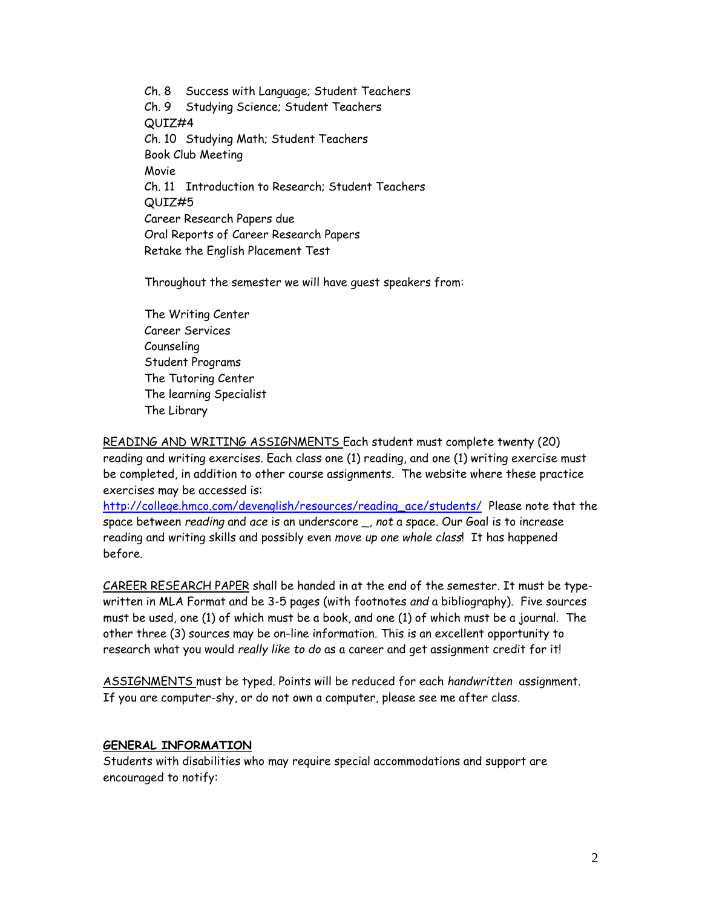Ch. 8 Success with Language; Student Teachers Ch. 9 Studying Science; Student Teachers QUIZ#4 Ch. 10 Studying Math; Student Teachers Book Club Meeting Movie Ch. 11 Introduction to Research; Student Teachers QUIZ#5 Career Research Papers due Oral Reports of Career Research Papers Retake the English Placement Test

Throughout the semester we will have guest speakers from:

The Writing Center Career Services Counseling Student Programs The Tutoring Center The learning Specialist The Library

READING AND WRITING ASSIGNMENTS Each student must complete twenty (20) reading and writing exercises. Each class one (1) reading, and one (1) writing exercise must be completed, in addition to other course assignments. The website where these practice exercises may be accessed is:

[http://college.hmco.com/devenglish/resources/reading\\_ace/students/](http://college.hmco.com/devenglish/resources/reading_ace/students/) Please note that the space between *reading* and *ace* is an underscore \_, *not* a space. Our Goal is to increase reading and writing skills and possibly even *move up one whole class*! It has happened before.

CAREER RESEARCH PAPER shall be handed in at the end of the semester. It must be typewritten in MLA Format and be 3-5 pages (with footnotes *and* a bibliography). Five sources must be used, one (1) of which must be a book, and one (1) of which must be a journal. The other three (3) sources may be on-line information. This is an excellent opportunity to research what you would *really like to do* as a career and get assignment credit for it!

ASSIGNMENTS must be typed. Points will be reduced for each *handwritten* assignment. If you are computer-shy, or do not own a computer, please see me after class.

#### **GENERAL INFORMATION**

Students with disabilities who may require special accommodations and support are encouraged to notify: